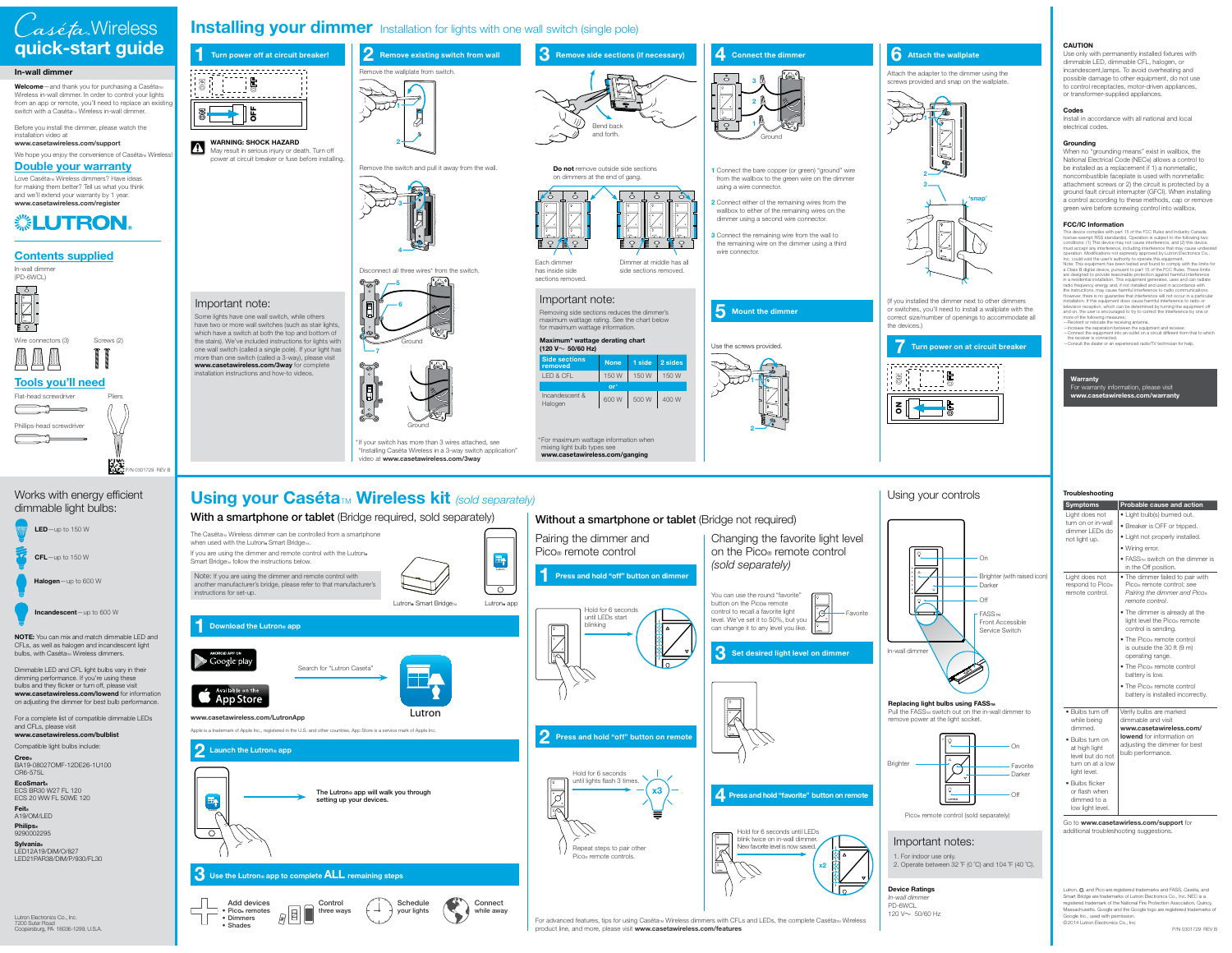Hold for 6 seconds until LEDs start blinking

### **In-wall dimmer**

**Welcome**—and thank you for purchasing a Caséta™ Wireless in-wall dimmer. In order to control your lights from an app or remote, you'll need to replace an existing switch with a Caséta™ Wireless in-wall dimmer.

#### **www.casetawireless.com/support** We hope you enjoy the convenience of Caséta<sub>TM</sub> Wireless

Before you install the dimmer, please watch the installation video at





# **Contents supplied**

In-wall dimmer (PD-6WCL)

## Works with energy efficient dimmable light bulbs:

Some lights have one wall switch, while others have two or more wall switches (such as stair lights, which have a switch at both the top and bottom of the stairs). We've included instructions for lights with one wall switch (called a single pole). If your light has more than one switch (called a 3-way), please visit **www.casetawireless.com/3way** for complete installation instructions and how-to videos.

**WARNING: SHOCK HAZARD**IA May result in serious injury or death. Turn off power at circuit breaker or fuse before installing.

**1 Press and hold "off" button on dimmer**

## **4 Connect the dimmer**

## **5 Mount the dimmer**

Remove the switch and pull it away from the wall.



# **3 Remove side sections (if necessary)** Bend back and forth.

\* If your switch has more than 3 wires attached, see "Installing Caséta Wireless in a 3-way switch application" video at **www.casetawireless.com/3way**









Disconnect all three wires\* from the switch.

- **1** Connect the bare copper (or green) "ground" wire from the wallbox to the green wire on the dimmer using a wire connector.
- **2** Connect either of the remaining wires from the wallbox to either of the remaining wires on the dimmer using a second wire connector.
- **3** Connect the remaining wire from the wall to the remaining wire on the dimmer using a third wire connector.

**Double your warranty** Love Casétam Wireless dimmers? Have ideas for making them better? Tell us what you think and we'll extend your warranty by 1 year. **www.casetawireless.com/register**

# 

**Do not** remove outside side sections on dimmers at the end of gang.





Each dimmer has inside side sections removed.

Dimmer at middle has all side sections removed.

Attach the adapter to the dimmer using the screws provided and snap on the wallplate.

(If you installed the dimmer next to other dimmers or switches, you'll need to install a wallplate with the correct size/number of openings to accommodate all the devices.)

Pairing the dimmer and Pico ® remote control

# **Using your Caséta**TM **Wireless kit** (sold separately)

Go to **www.casetawirless.com/support** for additional troubleshooting suggestions.

Lutron, . and Pico are registered trademarks and FASS, Caséta, and Smart Bridge are trademarks of Lutron Electronics Co., Inc. NEC is a registered trademark of the National Fire Protection Association, Quincy, Massachusetts. Google and the Google logo are registered trademarks of Google Inc., used with permissio © 2014 Lutron Electronics Co., Inc

| <b>Symptoms</b>                                                                          | Probable cause and action                                                                                        |  |
|------------------------------------------------------------------------------------------|------------------------------------------------------------------------------------------------------------------|--|
| Light does not                                                                           | • Light bulb(s) burned out.                                                                                      |  |
| turn on or in-wall                                                                       | • Breaker is OFF or tripped.                                                                                     |  |
| dimmer LEDs do<br>not light up.                                                          | • Light not properly installed.                                                                                  |  |
|                                                                                          | • Wiring error.                                                                                                  |  |
|                                                                                          | $\bullet$ FASS <sub>TM</sub> switch on the dimmer is<br>in the Off position.                                     |  |
| Light does not<br>respond to Pico®<br>remote control.                                    | • The dimmer failed to pair with<br>Pico® remote control; see<br>Pairing the dimmer and Pico®<br>remote control. |  |
|                                                                                          | • The dimmer is already at the<br>light level the Pico® remote<br>control is sending.                            |  |
|                                                                                          | • The Pico® remote control<br>is outside the 30 ft (9 m)<br>operating range.                                     |  |
|                                                                                          | • The Pico® remote control<br>battery is low.                                                                    |  |
|                                                                                          | • The Pico® remote control<br>battery is installed incorrectly.                                                  |  |
| · Bulbs turn off<br>while being<br>dimmed.                                               | Verify bulbs are marked<br>dimmable and visit<br>www.casetawireless.com/                                         |  |
| • Bulbs turn on<br>at high light<br>level but do not<br>turn on at a low<br>light level. | <b>lowend</b> for information on<br>adjusting the dimmer for best<br>bulb performance.                           |  |
| • Bulbs flicker<br>or flash when<br>dimmed to a<br>low light level.                      |                                                                                                                  |  |

# **x32 Press and hold "off" button on remote** Hold for 6 seconds until lights flash 3 times.

# **quick-start guide** Wireless

product line, and more, please visit **www.casetawireless.com/features**



remove power at the light socket.

#### **CAUTION**



# **Installing your dimmer** Installation for lights with one wall switch (single pole)

Use only with permanently installed fixtures with dimmable LED, dimmable CFL, halogen, or incandescent,lamps. To avoid overheating and possible damage to other equipment, do not use to control receptacles, motor-driven appliances, or transformer-supplied appliances.



#### **Codes**

Install in accordance with all national and local electrical codes.

#### **Grounding**



# **6** Attach the wallplate

When no "grounding means" exist in wallbox, the National Electrical Code (NEC®) allows a control to be installed as a replacement if 1) a nonmetallic, noncombustible faceplate is used with nonmetallic attachment screws or 2) the circuit is protected by a ground fault circuit interrupter (GFCI). When installing a control according to these methods, cap or remove green wire before screwing control into wallbox.

#### **FCC/IC Information**

 This device complies with part 15 of the FCC Rules and Industry Canada license-exempt RSS standard(s). Operation is subject to the following two conditions: (1) This device may not cause interference, and (2) this device must accept any interference, including interference that may cause undesired operation. Modifications not expressly approved by Lutron Electronics Co., Inc. could void the user's authority to operate this equipment. Note: This equipment has been tested and found to comply with the limits for a Class B digital device, pursuant to part 15 of the FCC Rules. These limits are designed to provide reasonable protection against harmful interference in a residential installation. This equipment generates, uses and can radiate radio frequency energy and, if not installed and used in accordance with<br>the instructions, may cause harmful interference to radio communications.<br>However, there is no guarantee that interference will not occur in a partic installation. If this equipment does cause harmful interference to radio or<br>television reception, which can be determined by turning the equipment off<br>and on, the user is encouraged to try to correct the interference by on more of the following measures: —Reorient or relocate the receiving antenna.





—Increase the separation between the equipment and receiver. — Connect the equipment into an outlet on a circuit different from that to which

the receiver is connected.

—Consult the dealer or an experienced radio/TV technician for help.

Important note:

# **Troubleshooting**

#### **Device Ratings** In-wall dimmer

PD-6WCL120 V ~ 50/60 Hz

## Important notes:

1. For indoor use only. 2. Operate between 32 ˚F (0 ˚C) and 104 ˚F (40 ˚C).

Repeat steps to pair other Pico® remote controls.



Pico<sup>®</sup> remote control (sold separately)

# **With a smartphone or tablet** (Bridge required, sold separately)

**The Lutron® app will walk you through** 

**setting up your devices.**

**3 Use the Lutron app to complete ALL remaining steps** 



Lutron

 $\circ$ 

E,

Lutron

# **Without a smartphone or tablet** (Bridge not required)

#### **Warranty** For warranty information, please visit **www.casetawireless.com/warranty**

**Control three ways**

 **Add devices• Pico**<sub></sub> remotes **• Dimmers • Shades** 

**Schedule your lights**

**Connect while away**

## Important note:

Removing side sections reduces the dimmer's maximum wattage rating. See the chart below for maximum wattage information.

\* For maximum wattage information when mixing light bulb types see **www.casetawireless.com/ganging**

## **Maximum\* wattage derating chart**

| (120 V< 50/60 Hz)               |             |        |         |  |  |
|---------------------------------|-------------|--------|---------|--|--|
| <b>Side sections</b><br>removed | <b>None</b> | 1 side | 2 sides |  |  |
| IFD & CFL                       | 150 W       | 150 W  | 150 W   |  |  |
| $or*$                           |             |        |         |  |  |
| Incandescent &<br>Halogen       | 600 W       | 500 W  | 400 W   |  |  |

Using your controls